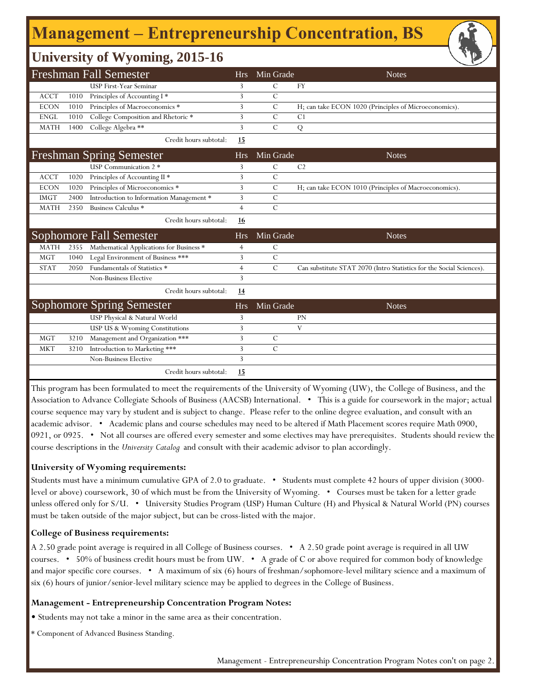# **Management ‒ Entrepreneurship Concentration, BS**

### **University of Wyoming, 2015-16**

|             |      | <b>Freshman Fall Semester</b>            | <b>Hrs</b>     | Min Grade      | <b>Notes</b>                                                         |
|-------------|------|------------------------------------------|----------------|----------------|----------------------------------------------------------------------|
|             |      | <b>USP First-Year Seminar</b>            | 3              | $\mathcal{C}$  | <b>FY</b>                                                            |
| <b>ACCT</b> | 1010 | Principles of Accounting I*              | 3              | $\mathcal{C}$  |                                                                      |
| <b>ECON</b> | 1010 | Principles of Macroeconomics *           | 3              | $\mathcal{C}$  | H; can take ECON 1020 (Principles of Microeconomics).                |
| <b>ENGL</b> | 1010 | College Composition and Rhetoric *       | 3              | $\mathcal{C}$  | C <sub>1</sub>                                                       |
| <b>MATH</b> | 1400 | College Algebra **                       | 3              | $\mathcal{C}$  | Q                                                                    |
|             |      | Credit hours subtotal:                   | 15             |                |                                                                      |
|             |      | <b>Freshman Spring Semester</b>          | <b>Hrs</b>     | Min Grade      | <b>Notes</b>                                                         |
|             |      | USP Communication 2 *                    | 3              | $\mathcal{C}$  | C <sub>2</sub>                                                       |
| <b>ACCT</b> | 1020 | Principles of Accounting II <sup>*</sup> | 3              | $\overline{C}$ |                                                                      |
| <b>ECON</b> | 1020 | Principles of Microeconomics *           | 3              | $\mathcal{C}$  | H; can take ECON 1010 (Principles of Macroeconomics).                |
| <b>IMGT</b> | 2400 | Introduction to Information Management * | 3              | $\mathcal{C}$  |                                                                      |
| <b>MATH</b> | 2350 | Business Calculus *                      | $\overline{4}$ | $\mathcal{C}$  |                                                                      |
|             |      | Credit hours subtotal:                   | 16             |                |                                                                      |
|             |      | <b>Sophomore Fall Semester</b>           | <b>Hrs</b>     | Min Grade      | <b>Notes</b>                                                         |
| <b>MATH</b> | 2355 | Mathematical Applications for Business * | 4              | $\mathcal{C}$  |                                                                      |
| <b>MGT</b>  | 1040 | Legal Environment of Business ***        | 3              | $\mathcal{C}$  |                                                                      |
| <b>STAT</b> | 2050 | Fundamentals of Statistics *             | $\overline{4}$ | $\mathcal{C}$  | Can substitute STAT 2070 (Intro Statistics for the Social Sciences). |
|             |      | Non-Business Elective                    | 3              |                |                                                                      |
|             |      | Credit hours subtotal:                   | 14             |                |                                                                      |
|             |      | Sophomore Spring Semester                | <b>Hrs</b>     | Min Grade      | <b>Notes</b>                                                         |
|             |      | USP Physical & Natural World             | 3              |                | <b>PN</b>                                                            |
|             |      | USP US & Wyoming Constitutions           | 3              |                | V                                                                    |
| <b>MGT</b>  | 3210 | Management and Organization ***          | 3              | C              |                                                                      |
| <b>MKT</b>  | 3210 | Introduction to Marketing ***            | 3              | $\mathcal{C}$  |                                                                      |
|             |      | <b>Non-Business Elective</b>             | 3              |                |                                                                      |
|             |      | Credit hours subtotal:                   | 15             |                |                                                                      |

This program has been formulated to meet the requirements of the University of Wyoming (UW), the College of Business, and the Association to Advance Collegiate Schools of Business (AACSB) International. • This is a guide for coursework in the major; actual course sequence may vary by student and is subject to change. Please refer to the online degree evaluation, and consult with an academic advisor. • Academic plans and course schedules may need to be altered if Math Placement scores require Math 0900, 0921, or 0925. • Not all courses are offered every semester and some electives may have prerequisites. Students should review the course descriptions in the *University Catalog* and consult with their academic advisor to plan accordingly.

#### **University of Wyoming requirements:**

Students must have a minimum cumulative GPA of 2.0 to graduate. • Students must complete 42 hours of upper division (3000 level or above) coursework, 30 of which must be from the University of Wyoming. • Courses must be taken for a letter grade unless offered only for S/U. • University Studies Program (USP) Human Culture (H) and Physical & Natural World (PN) courses must be taken outside of the major subject, but can be cross-listed with the major.

#### **College of Business requirements:**

A 2.50 grade point average is required in all College of Business courses. • A 2.50 grade point average is required in all UW courses. • 50% of business credit hours must be from UW. • A grade of C or above required for common body of knowledge and major specific core courses. • A maximum of six (6) hours of freshman/sophomore-level military science and a maximum of six (6) hours of junior/senior-level military science may be applied to degrees in the College of Business.

#### **Management - Entrepreneurship Concentration Program Notes:**

• Students may not take a minor in the same area as their concentration.

\* Component of Advanced Business Standing.

Management - Entrepreneurship Concentration Program Notes con't on page 2.